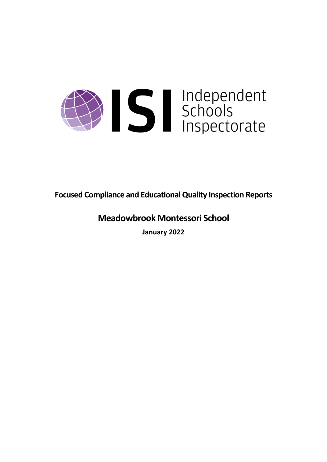

**Focused Compliance and EducationalQuality Inspection Reports**

# **Meadowbrook Montessori School**

**January 2022**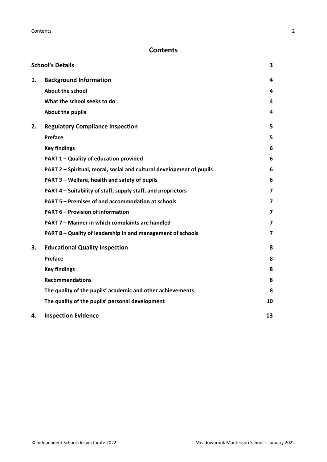# **Contents**

|    | <b>School's Details</b>                                              | 3                       |
|----|----------------------------------------------------------------------|-------------------------|
| 1. | <b>Background Information</b>                                        | 4                       |
|    | <b>About the school</b>                                              | 4                       |
|    | What the school seeks to do                                          | 4                       |
|    | About the pupils                                                     | 4                       |
| 2. | <b>Regulatory Compliance Inspection</b>                              | 5                       |
|    | Preface                                                              | 5                       |
|    | <b>Key findings</b>                                                  | 6                       |
|    | PART 1 - Quality of education provided                               | 6                       |
|    | PART 2 - Spiritual, moral, social and cultural development of pupils | 6                       |
|    | PART 3 - Welfare, health and safety of pupils                        | 6                       |
|    | PART 4 – Suitability of staff, supply staff, and proprietors         | 7                       |
|    | PART 5 - Premises of and accommodation at schools                    | 7                       |
|    | <b>PART 6 - Provision of information</b>                             | 7                       |
|    | PART 7 - Manner in which complaints are handled                      | 7                       |
|    | PART 8 - Quality of leadership in and management of schools          | $\overline{\mathbf{z}}$ |
| 3. | <b>Educational Quality Inspection</b>                                | 8                       |
|    | Preface                                                              | 8                       |
|    | <b>Key findings</b>                                                  | 8                       |
|    | <b>Recommendations</b>                                               | 8                       |
|    | The quality of the pupils' academic and other achievements           | 8                       |
|    | The quality of the pupils' personal development                      | 10                      |
| 4. | <b>Inspection Evidence</b>                                           | 13                      |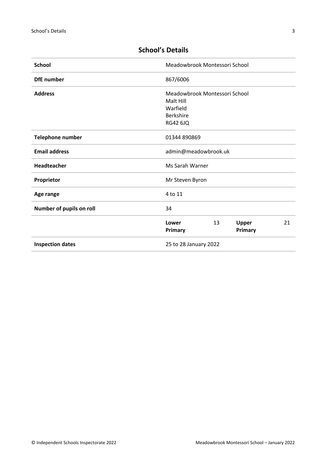| <b>School</b>            | Meadowbrook Montessori School                                                          |
|--------------------------|----------------------------------------------------------------------------------------|
| <b>DfE</b> number        | 867/6006                                                                               |
| <b>Address</b>           | Meadowbrook Montessori School<br>Malt Hill<br>Warfield<br>Berkshire<br><b>RG42 6JQ</b> |
| Telephone number         | 01344 890869                                                                           |
| <b>Email address</b>     | admin@meadowbrook.uk                                                                   |
| Headteacher              | Ms Sarah Warner                                                                        |
| Proprietor               | Mr Steven Byron                                                                        |
| Age range                | 4 to 11                                                                                |
| Number of pupils on roll | 34                                                                                     |
|                          | Lower<br>13<br>Upper<br>21<br>Primary<br>Primary                                       |
| <b>Inspection dates</b>  | 25 to 28 January 2022                                                                  |

# <span id="page-2-0"></span>**School's Details**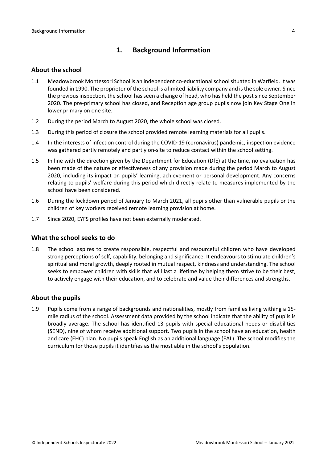### <span id="page-3-0"></span>**1. Background Information**

#### <span id="page-3-1"></span>**About the school**

- 1.1 Meadowbrook Montessori School is an independent co-educationalschoolsituated in Warfield. It was founded in 1990. The proprietor of the school is a limited liability company and isthe sole owner. Since the previous inspection, the school has seen a change of head, who has held the post since September 2020. The pre-primary school has closed, and Reception age group pupils now join Key Stage One in lower primary on one site.
- 1.2 During the period March to August 2020, the whole school was closed.
- 1.3 During this period of closure the school provided remote learning materials for all pupils.
- 1.4 In the interests of infection control during the COVID-19 (coronavirus) pandemic, inspection evidence was gathered partly remotely and partly on-site to reduce contact within the school setting.
- 1.5 In line with the direction given by the Department for Education (DfE) at the time, no evaluation has been made of the nature or effectiveness of any provision made during the period March to August 2020, including its impact on pupils' learning, achievement or personal development. Any concerns relating to pupils' welfare during this period which directly relate to measures implemented by the school have been considered.
- 1.6 During the lockdown period of January to March 2021, all pupils other than vulnerable pupils or the children of key workers received remote learning provision at home.
- 1.7 Since 2020, EYFS profiles have not been externally moderated.

#### <span id="page-3-2"></span>**What the school seeks to do**

1.8 The school aspires to create responsible, respectful and resourceful children who have developed strong perceptions of self, capability, belonging and significance. It endeavours to stimulate children's spiritual and moral growth, deeply rooted in mutual respect, kindness and understanding. The school seeks to empower children with skills that will last a lifetime by helping them strive to be their best, to actively engage with their education, and to celebrate and value their differences and strengths.

#### <span id="page-3-3"></span>**About the pupils**

1.9 Pupils come from a range of backgrounds and nationalities, mostly from families living withing a 15 mile radius of the school. Assessment data provided by the school indicate that the ability of pupils is broadly average. The school has identified 13 pupils with special educational needs or disabilities (SEND), nine of whom receive additional support. Two pupils in the school have an education, health and care (EHC) plan. No pupils speak English as an additional language (EAL). The school modifies the curriculum for those pupils it identifies as the most able in the school's population.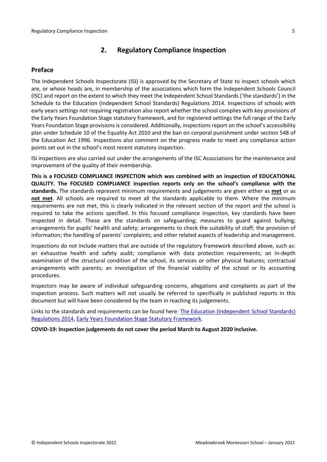### <span id="page-4-0"></span>**2. Regulatory Compliance Inspection**

### <span id="page-4-1"></span>**Preface**

The Independent Schools Inspectorate (ISI) is approved by the Secretary of State to inspect schools which are, or whose heads are, in membership of the associations which form the Independent Schools Council (ISC) and report on the extent to which they meet the Independent School Standards ('the standards') in the Schedule to the Education (Independent School Standards) Regulations 2014. Inspections of schools with early years settings not requiring registration also report whether the school complies with key provisions of the Early Years Foundation Stage statutory framework, and for registered settings the full range of the Early Years Foundation Stage provisions is considered. Additionally, inspections report on the school's accessibility plan under Schedule 10 of the Equality Act 2010 and the ban on corporal punishment under section 548 of the Education Act 1996. Inspections also comment on the progress made to meet any compliance action points set out in the school's most recent statutory inspection.

ISI inspections are also carried out under the arrangements of the ISC Associations for the maintenance and improvement of the quality of their membership.

**This is a FOCUSED COMPLIANCE INSPECTION which was combined with an inspection of EDUCATIONAL QUALITY. The FOCUSED COMPLIANCE inspection reports only on the school's compliance with the standards.** The standards represent minimum requirements and judgements are given either as **met** or as **not met**. All schools are required to meet all the standards applicable to them. Where the minimum requirements are not met, this is clearly indicated in the relevant section of the report and the school is required to take the actions specified. In this focused compliance inspection, key standards have been inspected in detail. These are the standards on safeguarding; measures to guard against bullying; arrangements for pupils' health and safety; arrangements to check the suitability of staff; the provision of information; the handling of parents' complaints; and other related aspects of leadership and management.

Inspections do not include matters that are outside of the regulatory framework described above, such as: an exhaustive health and safety audit; compliance with data protection requirements; an in-depth examination of the structural condition of the school, its services or other physical features; contractual arrangements with parents; an investigation of the financial viability of the school or its accounting procedures.

Inspectors may be aware of individual safeguarding concerns, allegations and complaints as part of the inspection process. Such matters will not usually be referred to specifically in published reports in this document but will have been considered by the team in reaching its judgements.

Links to the standards and requirements can be found here: The Education [\(Independent](http://www.legislation.gov.uk/uksi/2014/3283/contents/made) School Standards) [Regulations](http://www.legislation.gov.uk/uksi/2014/3283/contents/made) 2014, Early Years Foundation Stage Statutory [Framework.](https://www.gov.uk/government/publications/early-years-foundation-stage-framework--2)

**COVID-19: Inspection judgements do not cover the period March to August 2020 inclusive.**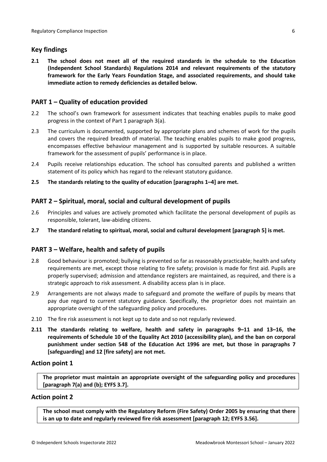### <span id="page-5-0"></span>**Key findings**

**2.1 The school does not meet all of the required standards in the schedule to the Education (Independent School Standards) Regulations 2014 and relevant requirements of the statutory framework for the Early Years Foundation Stage, and associated requirements, and should take immediate action to remedy deficiencies as detailed below.**

### <span id="page-5-1"></span>**PART 1 – Quality of education provided**

- 2.2 The school's own framework for assessment indicates that teaching enables pupils to make good progress in the context of Part 1 paragraph 3(a).
- 2.3 The curriculum is documented, supported by appropriate plans and schemes of work for the pupils and covers the required breadth of material. The teaching enables pupils to make good progress, encompasses effective behaviour management and is supported by suitable resources. A suitable framework for the assessment of pupils' performance is in place.
- 2.4 Pupils receive relationships education. The school has consulted parents and published a written statement of its policy which has regard to the relevant statutory guidance.
- **2.5 The standards relating to the quality of education [paragraphs 1–4] are met.**

### <span id="page-5-2"></span>**PART 2 – Spiritual, moral, social and cultural development of pupils**

- 2.6 Principles and values are actively promoted which facilitate the personal development of pupils as responsible, tolerant, law-abiding citizens.
- **2.7 The standard relating to spiritual, moral, social and cultural development [paragraph 5] is met.**

#### <span id="page-5-3"></span>**PART 3 – Welfare, health and safety of pupils**

- 2.8 Good behaviour is promoted; bullying is prevented so far as reasonably practicable; health and safety requirements are met, except those relating to fire safety; provision is made for first aid. Pupils are properly supervised; admission and attendance registers are maintained, as required, and there is a strategic approach to risk assessment. A disability access plan is in place.
- 2.9 Arrangements are not always made to safeguard and promote the welfare of pupils by means that pay due regard to current statutory guidance. Specifically, the proprietor does not maintain an appropriate oversight of the safeguarding policy and procedures.
- 2.10 The fire risk assessment is not kept up to date and so not regularly reviewed.
- **2.11 The standards relating to welfare, health and safety in paragraphs 9–11 and 13–16, the requirements of Schedule 10 of the Equality Act 2010 (accessibility plan), and the ban on corporal punishment under section 548 of the Education Act 1996 are met, but those in paragraphs 7 [safeguarding] and 12 [fire safety] are not met.**

#### **Action point 1**

**The proprietor must maintain an appropriate oversight of the safeguarding policy and procedures [paragraph 7(a) and (b); EYFS 3.7].**

#### **Action point 2**

**The school must comply with the Regulatory Reform (Fire Safety) Order 2005 by ensuring that there is an up to date and regularly reviewed fire risk assessment [paragraph 12; EYFS 3.56].**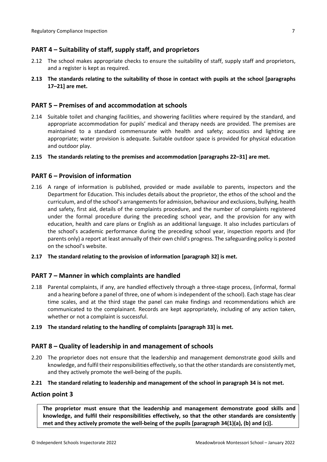### <span id="page-6-0"></span>**PART 4 – Suitability of staff, supply staff, and proprietors**

- 2.12 The school makes appropriate checks to ensure the suitability of staff, supply staff and proprietors, and a register is kept as required.
- **2.13 The standards relating to the suitability of those in contact with pupils at the school [paragraphs 17–21] are met.**

#### <span id="page-6-1"></span>**PART 5 – Premises of and accommodation at schools**

2.14 Suitable toilet and changing facilities, and showering facilities where required by the standard, and appropriate accommodation for pupils' medical and therapy needs are provided. The premises are maintained to a standard commensurate with health and safety; acoustics and lighting are appropriate; water provision is adequate. Suitable outdoor space is provided for physical education and outdoor play.

#### **2.15 The standards relating to the premises and accommodation [paragraphs 22–31] are met.**

#### <span id="page-6-2"></span>**PART 6 – Provision of information**

- 2.16 A range of information is published, provided or made available to parents, inspectors and the Department for Education. This includes details about the proprietor, the ethos of the school and the curriculum, and of the school's arrangementsfor admission, behaviour and exclusions, bullying, health and safety, first aid, details of the complaints procedure, and the number of complaints registered under the formal procedure during the preceding school year, and the provision for any with education, health and care plans or English as an additional language. It also includes particulars of the school's academic performance during the preceding school year, inspection reports and (for parents only) a report at least annually of their own child's progress. The safeguarding policy is posted on the school's website.
- **2.17 The standard relating to the provision of information [paragraph 32] is met.**

#### <span id="page-6-3"></span>**PART 7 – Manner in which complaints are handled**

- 2.18 Parental complaints, if any, are handled effectively through a three-stage process, (informal, formal and a hearing before a panel of three, one of whom isindependent of the school). Each stage has clear time scales, and at the third stage the panel can make findings and recommendations which are communicated to the complainant. Records are kept appropriately, including of any action taken, whether or not a complaint is successful.
- **2.19 The standard relating to the handling of complaints [paragraph 33] is met.**

#### <span id="page-6-4"></span>**PART 8 – Quality of leadership in and management of schools**

2.20 The proprietor does not ensure that the leadership and management demonstrate good skills and knowledge, and fulfil their responsibilities effectively, so that the other standards are consistently met, and they actively promote the well-being of the pupils.

#### **2.21 The standard relating to leadership and management of the school in paragraph 34 is not met.**

#### **Action point 3**

**The proprietor must ensure that the leadership and management demonstrate good skills and knowledge, and fulfil their responsibilities effectively, so that the other standards are consistently met and they actively promote the well-being of the pupils [paragraph 34(1)(a), (b) and (c)].**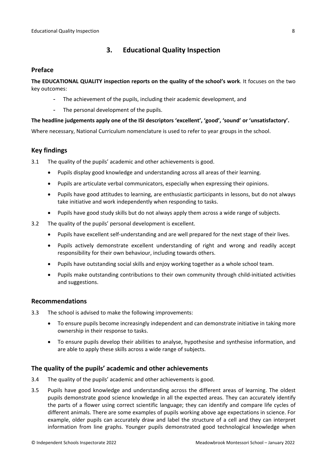### <span id="page-7-0"></span>**3. Educational Quality Inspection**

#### <span id="page-7-1"></span>**Preface**

**The EDUCATIONAL QUALITY inspection reports on the quality of the school's work**. It focuses on the two key outcomes:

- The achievement of the pupils, including their academic development, and
- The personal development of the pupils.

#### **The headline judgements apply one of the ISI descriptors 'excellent', 'good', 'sound' or 'unsatisfactory'.**

Where necessary, National Curriculum nomenclature is used to refer to year groups in the school.

### <span id="page-7-2"></span>**Key findings**

3.1 The quality of the pupils' academic and other achievements is good.

- Pupils display good knowledge and understanding across all areas of their learning.
- Pupils are articulate verbal communicators, especially when expressing their opinions.
- Pupils have good attitudes to learning, are enthusiastic participants in lessons, but do not always take initiative and work independently when responding to tasks.
- Pupils have good study skills but do not always apply them across a wide range of subjects.
- 3.2 The quality of the pupils' personal development is excellent.
	- Pupils have excellent self-understanding and are well prepared for the next stage of their lives.
	- Pupils actively demonstrate excellent understanding of right and wrong and readily accept responsibility for their own behaviour, including towards others.
	- Pupils have outstanding social skills and enjoy working together as a whole school team.
	- Pupils make outstanding contributions to their own community through child-initiated activities and suggestions.

#### <span id="page-7-3"></span>**Recommendations**

- 3.3 The school is advised to make the following improvements:
	- To ensure pupils become increasingly independent and can demonstrate initiative in taking more ownership in their response to tasks.
	- To ensure pupils develop their abilities to analyse, hypothesise and synthesise information, and are able to apply these skills across a wide range of subjects.

#### <span id="page-7-4"></span>**The quality of the pupils' academic and other achievements**

- 3.4 The quality of the pupils' academic and other achievements is good.
- 3.5 Pupils have good knowledge and understanding across the different areas of learning. The oldest pupils demonstrate good science knowledge in all the expected areas. They can accurately identify the parts of a flower using correct scientific language; they can identify and compare life cycles of different animals. There are some examples of pupils working above age expectations in science. For example, older pupils can accurately draw and label the structure of a cell and they can interpret information from line graphs. Younger pupils demonstrated good technological knowledge when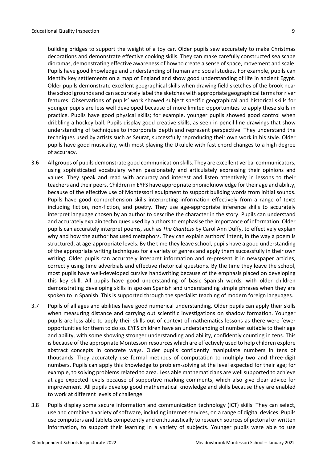building bridges to support the weight of a toy car. Older pupils sew accurately to make Christmas decorations and demonstrate effective cooking skills. They can make carefully constructed sea scape dioramas, demonstrating effective awareness of how to create a sense ofspace, movement and scale. Pupils have good knowledge and understanding of human and social studies. For example, pupils can identify key settlements on a map of England and show good understanding of life in ancient Egypt. Older pupils demonstrate excellent geographical skills when drawing field sketches of the brook near the school grounds and can accurately label the sketches with appropriate geographical termsfor river features. Observations of pupils' work showed subject specific geographical and historical skills for younger pupils are less well developed because of more limited opportunities to apply these skills in practice. Pupils have good physical skills; for example, younger pupils showed good control when dribbling a hockey ball. Pupils display good creative skills, as seen in pencil line drawings that show understanding of techniques to incorporate depth and represent perspective. They understand the techniques used by artists such as Seurat, successfully reproducing their own work in his style. Older pupils have good musicality, with most playing the Ukulele with fast chord changes to a high degree of accuracy.

- 3.6 All groups of pupils demonstrate good communication skills. They are excellent verbal communicators, using sophisticated vocabulary when passionately and articulately expressing their opinions and values. They speak and read with accuracy and interest and listen attentively in lessons to their teachers and their peers. Children in EYFS have appropriate phonic knowledge for their age and ability, because of the effective use of Montessori equipment to support building words from initial sounds. Pupils have good comprehension skills interpreting information effectively from a range of texts including fiction, non-fiction, and poetry. They use age-appropriate inference skills to accurately interpret language chosen by an author to describe the character in the story. Pupils can understand and accurately explain techniques used by authors to emphasise the importance of information. Older pupils can accurately interpret poems, such as *The Giantess* by Carol Ann Duffy, to effectively explain why and how the author has used metaphors. They can explain authors' intent, in the way a poem is structured, at age-appropriate levels. By the time they leave school, pupils have a good understanding of the appropriate writing techniques for a variety of genres and apply them successfully in their own writing. Older pupils can accurately interpret information and re-present it in newspaper articles, correctly using time adverbials and effective rhetorical questions. By the time they leave the school, most pupils have well-developed cursive handwriting because of the emphasis placed on developing this key skill. All pupils have good understanding of basic Spanish words, with older children demonstrating developing skills in spoken Spanish and understanding simple phrases when they are spoken to in Spanish. This is supported through the specialist teaching of modern foreign languages.
- 3.7 Pupils of all ages and abilities have good numerical understanding. Older pupils can apply their skills when measuring distance and carrying out scientific investigations on shadow formation. Younger pupils are less able to apply their skills out of context of mathematics lessons as there were fewer opportunities for them to do so. EYFS children have an understanding of number suitable to their age and ability, with some showing stronger understanding and ability, confidently counting in tens. This is because of the appropriate Montessori resources which are effectively used to help children explore abstract concepts in concrete ways. Older pupils confidently manipulate numbers in tens of thousands. They accurately use formal methods of computation to multiply two and three-digit numbers. Pupils can apply this knowledge to problem-solving at the level expected for their age; for example, to solving problems related to area. Less able mathematicians are well supported to achieve at age expected levels because of supportive marking comments, which also give clear advice for improvement. All pupils develop good mathematical knowledge and skills because they are enabled to work at different levels of challenge.
- 3.8 Pupils display some secure information and communication technology (ICT) skills. They can select, use and combine a variety of software, including internet services, on a range of digital devices. Pupils use computers and tablets competently and enthusiastically to research sources of pictorial or written information, to support their learning in a variety of subjects. Younger pupils were able to use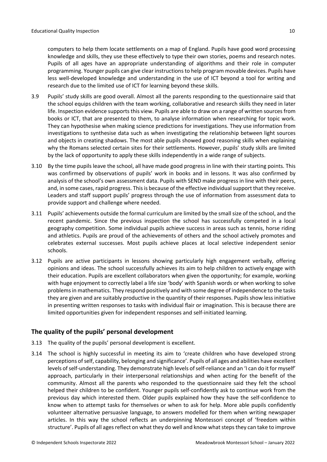computers to help them locate settlements on a map of England. Pupils have good word processing knowledge and skills, they use these effectively to type their own stories, poems and research notes. Pupils of all ages have an appropriate understanding of algorithms and their role in computer programming. Younger pupils can give clear instructionsto help program movable devices. Pupils have less well-developed knowledge and understanding in the use of ICT beyond a tool for writing and research due to the limited use of ICT for learning beyond these skills.

- 3.9 Pupils' study skills are good overall. Almost all the parents responding to the questionnaire said that the school equips children with the team working, collaborative and research skills they need in later life. Inspection evidence supports this view. Pupils are able to draw on a range of written sources from books or ICT, that are presented to them, to analyse information when researching for topic work. They can hypothesise when making science predictions for investigations. They use information from investigations to synthesise data such as when investigating the relationship between light sources and objects in creating shadows. The most able pupils showed good reasoning skills when explaining why the Romans selected certain sites for their settlements. However, pupils' study skills are limited by the lack of opportunity to apply these skills independently in a wide range of subjects.
- 3.10 By the time pupils leave the school, all have made good progress in line with their starting points. This was confirmed by observations of pupils' work in books and in lessons. It was also confirmed by analysis of the school's own assessment data. Pupils with SEND make progress in line with their peers, and, in some cases, rapid progress. This is because of the effective individual support that they receive. Leaders and staff support pupils' progress through the use of information from assessment data to provide support and challenge where needed.
- 3.11 Pupils' achievements outside the formal curriculum are limited by the small size of the school, and the recent pandemic. Since the previous inspection the school has successfully competed in a local geography competition. Some individual pupils achieve success in areas such as tennis, horse riding and athletics. Pupils are proud of the achievements of others and the school actively promotes and celebrates external successes. Most pupils achieve places at local selective independent senior schools.
- 3.12 Pupils are active participants in lessons showing particularly high engagement verbally, offering opinions and ideas. The school successfully achieves its aim to help children to actively engage with their education. Pupils are excellent collaborators when given the opportunity; for example, working with huge enjoyment to correctly label a life size 'body' with Spanish words or when working to solve problems in mathematics. They respond positively and with some degree of independence to the tasks they are given and are suitably productive in the quantity of their responses. Pupils show less initiative in presenting written responses to tasks with individual flair or imagination. This is because there are limited opportunities given for independent responses and self-initiated learning.

### <span id="page-9-0"></span>**The quality of the pupils' personal development**

- 3.13 The quality of the pupils' personal development is excellent.
- 3.14 The school is highly successful in meeting its aim to 'create children who have developed strong perceptions of self, capability, belonging and significance'. Pupils of all ages and abilities have excellent levels of self-understanding. They demonstrate high levels of self-reliance and an 'I can do it for myself' approach, particularly in their interpersonal relationships and when acting for the benefit of the community. Almost all the parents who responded to the questionnaire said they felt the school helped their children to be confident. Younger pupils self-confidently ask to continue work from the previous day which interested them. Older pupils explained how they have the self-confidence to know when to attempt tasks for themselves or when to ask for help. More able pupils confidently volunteer alternative persuasive language, to answers modelled for them when writing newspaper articles. In this way the school reflects an underpinning Montessori concept of 'freedom within structure'. Pupils of all ages reflect on what they do well and know what steps they can take to improve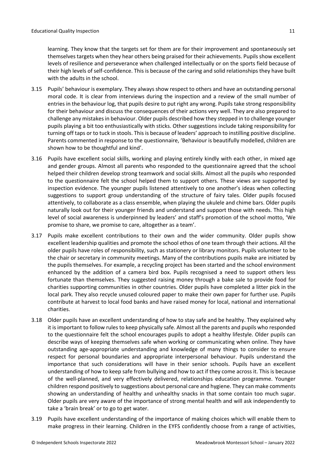learning. They know that the targets set for them are for their improvement and spontaneously set themselves targets when they hear others being praised for their achievements. Pupils show excellent levels of resilience and perseverance when challenged intellectually or on the sports field because of their high levels of self-confidence. This is because of the caring and solid relationships they have built with the adults in the school.

- 3.15 Pupils' behaviour is exemplary. They always show respect to others and have an outstanding personal moral code. It is clear from interviews during the inspection and a review of the small number of entries in the behaviour log, that pupils desire to put right any wrong. Pupils take strong responsibility for their behaviour and discuss the consequences of their actions very well. They are also prepared to challenge any mistakesin behaviour. Older pupils described how they stepped in to challenge younger pupils playing a bit too enthusiastically with sticks. Other suggestions include taking responsibility for turning off taps or to tuck in stools. This is because of leaders' approach to instilling positive discipline. Parents commented in response to the questionnaire, 'Behaviour is beautifully modelled, children are shown how to be thoughtful and kind'.
- 3.16 Pupils have excellent social skills, working and playing entirely kindly with each other, in mixed age and gender groups. Almost all parents who responded to the questionnaire agreed that the school helped their children develop strong teamwork and social skills. Almost all the pupils who responded to the questionnaire felt the school helped them to support others. These views are supported by inspection evidence. The younger pupils listened attentively to one another's ideas when collecting suggestions to support group understanding of the structure of fairy tales. Older pupils focused attentively, to collaborate as a class ensemble, when playing the ukulele and chime bars. Older pupils naturally look out for their younger friends and understand and support those with needs. This high level of social awareness is underpinned by leaders' and staff's promotion of the school motto, 'We promise to share, we promise to care, altogether as a team'.
- 3.17 Pupils make excellent contributions to their own and the wider community. Older pupils show excellent leadership qualities and promote the school ethos of one team through their actions. All the older pupils have roles of responsibility, such as stationery or library monitors. Pupils volunteer to be the chair or secretary in community meetings. Many of the contributions pupils make are initiated by the pupils themselves. For example, a recycling project has been started and the school environment enhanced by the addition of a camera bird box. Pupils recognised a need to support others less fortunate than themselves. They suggested raising money through a bake sale to provide food for charities supporting communities in other countries. Older pupils have completed a litter pick in the local park. They also recycle unused coloured paper to make their own paper for further use. Pupils contribute at harvest to local food banks and have raised money for local, national and international charities.
- 3.18 Older pupils have an excellent understanding of how to stay safe and be healthy. They explained why it isimportant to follow rules to keep physically safe. Almost all the parents and pupils who responded to the questionnaire felt the school encourages pupils to adopt a healthy lifestyle. Older pupils can describe ways of keeping themselves safe when working or communicating when online. They have outstanding age-appropriate understanding and knowledge of many things to consider to ensure respect for personal boundaries and appropriate interpersonal behaviour. Pupils understand the importance that such considerations will have in their senior schools. Pupils have an excellent understanding of how to keep safe from bullying and how to act if they come across it. This is because of the well-planned, and very effectively delivered, relationships education programme. Younger children respond positively to suggestions about personal care and hygiene. They can make comments showing an understanding of healthy and unhealthy snacks in that some contain too much sugar. Older pupils are very aware of the importance of strong mental health and will ask independently to take a 'brain break' or to go to get water.
- 3.19 Pupils have excellent understanding of the importance of making choices which will enable them to make progress in their learning. Children in the EYFS confidently choose from a range of activities,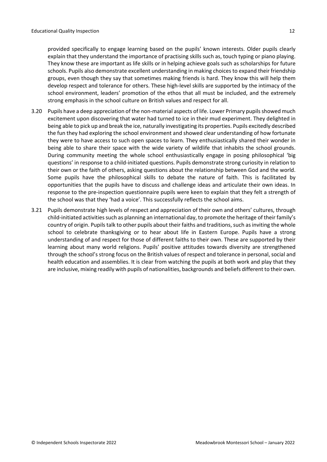provided specifically to engage learning based on the pupils' known interests. Older pupils clearly explain that they understand the importance of practising skills such as, touch typing or piano playing. They know these are important as life skills or in helping achieve goals such as scholarships for future schools. Pupils also demonstrate excellent understanding in making choices to expand their friendship groups, even though they say that sometimes making friends is hard. They know this will help them develop respect and tolerance for others. These high-level skills are supported by the intimacy of the school environment, leaders' promotion of the ethos that all must be included, and the extremely

3.20 Pupils have a deep appreciation of the non-material aspects of life. Lower Primary pupilsshowed much excitement upon discovering that water had turned to ice in their mud experiment. They delighted in being able to pick up and break the ice, naturally investigating its properties. Pupils excitedly described the fun they had exploring the school environment and showed clear understanding of how fortunate they were to have access to such open spaces to learn. They enthusiastically shared their wonder in being able to share their space with the wide variety of wildlife that inhabits the school grounds. During community meeting the whole school enthusiastically engage in posing philosophical 'big questions' in response to a child-initiated questions. Pupils demonstrate strong curiosity in relation to their own or the faith of others, asking questions about the relationship between God and the world. Some pupils have the philosophical skills to debate the nature of faith. This is facilitated by opportunities that the pupils have to discuss and challenge ideas and articulate their own ideas. In response to the pre-inspection questionnaire pupils were keen to explain that they felt a strength of the school was that they 'had a voice'. This successfully reflects the school aims.

strong emphasis in the school culture on British values and respect for all.

3.21 Pupils demonstrate high levels of respect and appreciation of their own and others' cultures, through child-initiated activities such as planning an international day, to promote the heritage of their family's country of origin. Pupils talk to other pupils about their faiths and traditions, such as inviting the whole school to celebrate thanksgiving or to hear about life in Eastern Europe. Pupils have a strong understanding of and respect for those of different faiths to their own. These are supported by their learning about many world religions. Pupils' positive attitudes towards diversity are strengthened through the school's strong focus on the British values of respect and tolerance in personal, social and health education and assemblies. It is clear from watching the pupils at both work and play that they are inclusive, mixing readily with pupils of nationalities, backgrounds and beliefs different to their own.